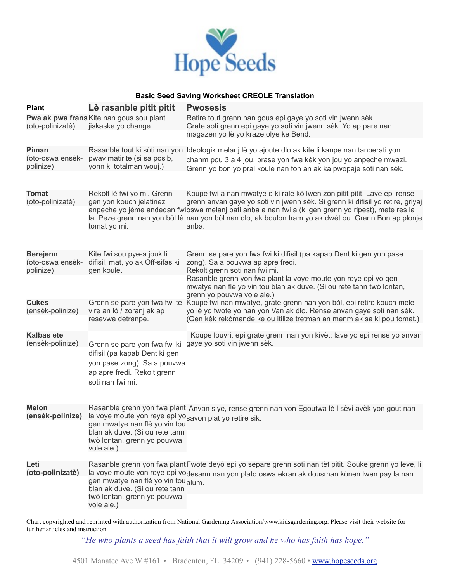

## **Basic Seed Saving Worksheet CREOLE Translation**

| <b>Plant</b>                                     | Lè rasanble pitit pitit                                                                                                                                                                                                       | <b>Pwosesis</b>                                                                                                                                                                                                                                                                                                                                                                                                                                                                                                                                                         |
|--------------------------------------------------|-------------------------------------------------------------------------------------------------------------------------------------------------------------------------------------------------------------------------------|-------------------------------------------------------------------------------------------------------------------------------------------------------------------------------------------------------------------------------------------------------------------------------------------------------------------------------------------------------------------------------------------------------------------------------------------------------------------------------------------------------------------------------------------------------------------------|
| (oto-polinizatè)                                 | Pwa ak pwa frans Kite nan gous sou plant<br>jiskaske yo change.                                                                                                                                                               | Retire tout grenn nan gous epi gaye yo soti vin jwenn sèk.<br>Grate soti grenn epi gaye yo soti vin jwenn sèk. Yo ap pare nan<br>magazen yo lè yo kraze olye ke Bend.                                                                                                                                                                                                                                                                                                                                                                                                   |
| Piman<br>(oto-oswa ensèk-<br>polinize)           | pwav matirite (si sa posib,<br>yonn ki totalman wouj.)                                                                                                                                                                        | Rasanble tout ki sòti nan yon Ideologik melanj lè yo ajoute dlo ak kite li kanpe nan tanperati yon<br>chanm pou 3 a 4 jou, brase yon fwa kèk yon jou yo anpeche mwazi.<br>Grenn yo bon yo pral koule nan fon an ak ka pwopaje soti nan sèk.                                                                                                                                                                                                                                                                                                                             |
| <b>Tomat</b><br>(oto-polinizatè)                 | Rekolt lè fwi yo mi. Grenn<br>gen yon kouch jelatinez<br>tomat yo mi.                                                                                                                                                         | Koupe fwi a nan mwatye e ki rale kò lwen zòn pitit pitit. Lave epi rense<br>grenn anvan gaye yo soti vin jwenn sèk. Si grenn ki difisil yo retire, griyaj<br>anpeche yo jème andedan fwioswa melanj pati anba a nan fwi a (ki gen grenn yo ripest), mete res la<br>la. Peze grenn nan yon bòl lè nan yon bòl nan dlo, ak boulon tram yo ak dwèt ou. Grenn Bon ap plonje<br>anba.                                                                                                                                                                                        |
| <b>Berejenn</b><br>(oto-oswa ensèk-<br>polinize) | Kite fwi sou pye-a jouk li<br>difisil, mat, yo ak Off-sifas ki<br>gen koulè.                                                                                                                                                  | Grenn se pare yon fwa fwi ki difisil (pa kapab Dent ki gen yon pase<br>zong). Sa a pouvwa ap apre fredi.<br>Rekolt grenn soti nan fwi mi.<br>Rasanble grenn yon fwa plant la voye moute yon reye epi yo gen<br>mwatye nan flè yo vin tou blan ak duve. (Si ou rete tann twò lontan,<br>grenn yo pouvwa vole ale.)<br>Grenn se pare yon fwa fwi te Koupe fwi nan mwatye, grate grenn nan yon bòl, epi retire kouch mele<br>yo lè yo fwote yo nan yon Van ak dlo. Rense anvan gaye soti nan sèk.<br>(Gen kèk rekòmande ke ou itilize tretman an menm ak sa ki pou tomat.) |
|                                                  |                                                                                                                                                                                                                               |                                                                                                                                                                                                                                                                                                                                                                                                                                                                                                                                                                         |
| <b>Cukes</b><br>(ensèk-polinize)                 | vire an lò / zoranj ak ap<br>resevwa detranpe.                                                                                                                                                                                |                                                                                                                                                                                                                                                                                                                                                                                                                                                                                                                                                                         |
| <b>Kalbas ete</b><br>(ensèk-polinize)            | Grenn se pare yon fwa fwi ki gaye yo soti vin jwenn sèk.<br>difisil (pa kapab Dent ki gen<br>yon pase zong). Sa a pouvwa<br>ap apre fredi. Rekolt grenn<br>soti nan fwi mi.                                                   | Koupe louvri, epi grate grenn nan yon kivèt; lave yo epi rense yo anvan                                                                                                                                                                                                                                                                                                                                                                                                                                                                                                 |
| <b>Melon</b><br>(ensèk-polinize)                 | Rasanble grenn yon fwa plant Anvan siye, rense grenn nan yon Egoutwa lè I sèvi avèk yon gout nan<br>la voye moute yon reye epi yosavon plat yo retire sik.<br>gen mwatye nan flè yo vin tou<br>blan ak duve. (Si ou rete tann |                                                                                                                                                                                                                                                                                                                                                                                                                                                                                                                                                                         |
|                                                  | twò lontan, grenn yo pouvwa<br>vole ale.)                                                                                                                                                                                     |                                                                                                                                                                                                                                                                                                                                                                                                                                                                                                                                                                         |
| Leti<br>(oto-polinizatè)                         | gen mwatye nan flè yo vin tou alum.<br>blan ak duve. (Si ou rete tann<br>twò lontan, grenn yo pouvwa                                                                                                                          | Rasanble grenn yon fwa plant Fwote deyò epi yo separe grenn soti nan tèt pitit. Souke grenn yo leve, li<br>la voye moute yon reye epi yodesann nan yon plato oswa ekran ak dousman kònen lwen pay la nan                                                                                                                                                                                                                                                                                                                                                                |
|                                                  | vole ale.)                                                                                                                                                                                                                    |                                                                                                                                                                                                                                                                                                                                                                                                                                                                                                                                                                         |

Chart copyrighted and reprinted with authorization from National Gardening Association/www.kidsgardening.org. Please visit their website for further articles and instruction.

*"He who plants a seed has faith that it will grow and he who has faith has hope."*